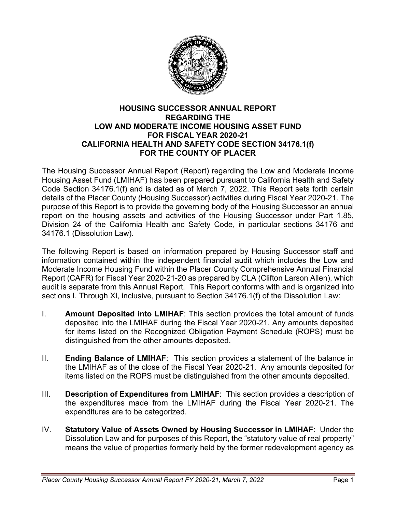

#### **HOUSING SUCCESSOR ANNUAL REPORT REGARDING THE LOW AND MODERATE INCOME HOUSING ASSET FUND FOR FISCAL YEAR 2020-21 CALIFORNIA HEALTH AND SAFETY CODE SECTION 34176.1(f) FOR THE COUNTY OF PLACER**

The Housing Successor Annual Report (Report) regarding the Low and Moderate Income Housing Asset Fund (LMIHAF) has been prepared pursuant to California Health and Safety Code Section 34176.1(f) and is dated as of March 7, 2022. This Report sets forth certain details of the Placer County (Housing Successor) activities during Fiscal Year 2020-21. The purpose of this Report is to provide the governing body of the Housing Successor an annual report on the housing assets and activities of the Housing Successor under Part 1.85, Division 24 of the California Health and Safety Code, in particular sections 34176 and 34176.1 (Dissolution Law).

The following Report is based on information prepared by Housing Successor staff and information contained within the independent financial audit which includes the Low and Moderate Income Housing Fund within the Placer County Comprehensive Annual Financial Report (CAFR) for Fiscal Year 2020-21-20 as prepared by CLA (Clifton Larson Allen), which audit is separate from this Annual Report. This Report conforms with and is organized into sections I. Through XI, inclusive, pursuant to Section 34176.1(f) of the Dissolution Law:

- I. **Amount Deposited into LMIHAF**: This section provides the total amount of funds deposited into the LMIHAF during the Fiscal Year 2020-21. Any amounts deposited for items listed on the Recognized Obligation Payment Schedule (ROPS) must be distinguished from the other amounts deposited.
- II. **Ending Balance of LMIHAF**: This section provides a statement of the balance in the LMIHAF as of the close of the Fiscal Year 2020-21. Any amounts deposited for items listed on the ROPS must be distinguished from the other amounts deposited.
- III. **Description of Expenditures from LMIHAF**: This section provides a description of the expenditures made from the LMIHAF during the Fiscal Year 2020-21. The expenditures are to be categorized.
- IV. **Statutory Value of Assets Owned by Housing Successor in LMIHAF**: Under the Dissolution Law and for purposes of this Report, the "statutory value of real property" means the value of properties formerly held by the former redevelopment agency as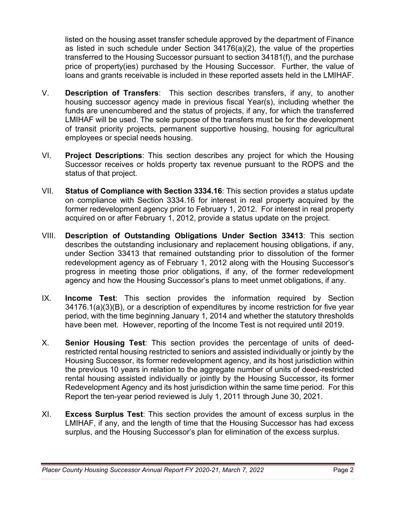listed on the housing asset transfer schedule approved by the department of Finance as listed in such schedule under Section 34176(a)(2), the value of the properties transferred to the Housing Successor pursuant to section 34181(f), and the purchase price of property(ies) purchased by the Housing Successor. Further, the value of loans and grants receivable is included in these reported assets held in the LMIHAF.

- V. **Description of Transfers**: This section describes transfers, if any, to another housing successor agency made in previous fiscal Year(s), including whether the funds are unencumbered and the status of projects, if any, for which the transferred LMIHAF will be used. The sole purpose of the transfers must be for the development of transit priority projects, permanent supportive housing, housing for agricultural employees or special needs housing.
- VI. **Project Descriptions**: This section describes any project for which the Housing Successor receives or holds property tax revenue pursuant to the ROPS and the status of that project.
- VII. **Status of Compliance with Section 3334.16**: This section provides a status update on compliance with Section 3334.16 for interest in real property acquired by the former redevelopment agency prior to February 1, 2012. For interest in real property acquired on or after February 1, 2012, provide a status update on the project.
- VIII. **Description of Outstanding Obligations Under Section 33413**: This section describes the outstanding inclusionary and replacement housing obligations, if any, under Section 33413 that remained outstanding prior to dissolution of the former redevelopment agency as of February 1, 2012 along with the Housing Successor's progress in meeting those prior obligations, if any, of the former redevelopment agency and how the Housing Successor's plans to meet unmet obligations, if any.
- IX. **Income Test**: This section provides the information required by Section 34176.1(a)(3)(B), or a description of expenditures by income restriction for five year period, with the time beginning January 1, 2014 and whether the statutory thresholds have been met. However, reporting of the Income Test is not required until 2019.
- X. **Senior Housing Test**: This section provides the percentage of units of deedrestricted rental housing restricted to seniors and assisted individually or jointly by the Housing Successor, its former redevelopment agency, and its host jurisdiction within the previous 10 years in relation to the aggregate number of units of deed-restricted rental housing assisted individually or jointly by the Housing Successor, its former Redevelopment Agency and its host jurisdiction within the same time period. For this Report the ten-year period reviewed is July 1, 2011 through June 30, 2021.
- XI. **Excess Surplus Test**: This section provides the amount of excess surplus in the LMIHAF, if any, and the length of time that the Housing Successor has had excess surplus, and the Housing Successor's plan for elimination of the excess surplus.

*Placer County Housing Successor Annual Report FY 2020-21, March 7, 2022* Page 2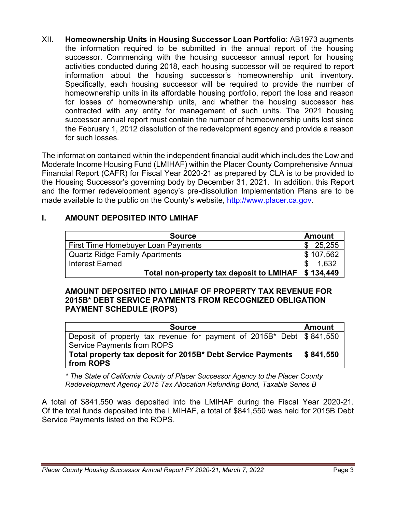XII. **Homeownership Units in Housing Successor Loan Portfolio**: AB1973 augments the information required to be submitted in the annual report of the housing successor. Commencing with the housing successor annual report for housing activities conducted during 2018, each housing successor will be required to report information about the housing successor's homeownership unit inventory. Specifically, each housing successor will be required to provide the number of homeownership units in its affordable housing portfolio, report the loss and reason for losses of homeownership units, and whether the housing successor has contracted with any entity for management of such units. The 2021 housing successor annual report must contain the number of homeownership units lost since the February 1, 2012 dissolution of the redevelopment agency and provide a reason for such losses.

The information contained within the independent financial audit which includes the Low and Moderate Income Housing Fund (LMIHAF) within the Placer County Comprehensive Annual Financial Report (CAFR) for Fiscal Year 2020-21 as prepared by CLA is to be provided to the Housing Successor's governing body by December 31, 2021. In addition, this Report and the former redevelopment agency's pre-dissolution Implementation Plans are to be made available to the public on the County's website, [http://www.placer.ca.gov.](http://www.placer.ca.gov/)

## **I. AMOUNT DEPOSITED INTO LMIHAF**

| <b>Source</b>                                        | Amount        |
|------------------------------------------------------|---------------|
| First Time Homebuyer Loan Payments                   | 25,255<br>\$. |
| <b>Quartz Ridge Family Apartments</b>                | \$107,562     |
| <b>Interest Earned</b>                               | 1.632         |
| Total non-property tax deposit to LMIHAF   \$134,449 |               |

### **AMOUNT DEPOSITED INTO LMIHAF OF PROPERTY TAX REVENUE FOR 2015B\* DEBT SERVICE PAYMENTS FROM RECOGNIZED OBLIGATION PAYMENT SCHEDULE (ROPS)**

| <b>Source</b>                                                                      | <b>Amount</b>           |
|------------------------------------------------------------------------------------|-------------------------|
| Deposit of property tax revenue for payment of $2015B^*$ Debt $\frac{1}{5}841,550$ |                         |
| <b>Service Payments from ROPS</b>                                                  |                         |
| Total property tax deposit for 2015B* Debt Service Payments                        | $\frac{1}{2}$ \$841,550 |
| from ROPS                                                                          |                         |

*\* The State of California County of Placer Successor Agency to the Placer County Redevelopment Agency 2015 Tax Allocation Refunding Bond, Taxable Series B*

A total of \$841,550 was deposited into the LMIHAF during the Fiscal Year 2020-21. Of the total funds deposited into the LMIHAF, a total of \$841,550 was held for 2015B Debt Service Payments listed on the ROPS.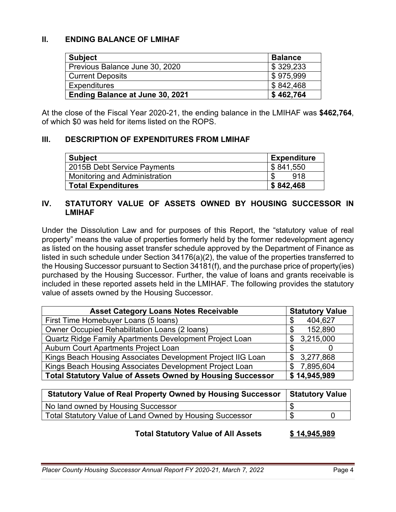## **II. ENDING BALANCE OF LMIHAF**

| <b>Subject</b>                         | <b>Balance</b> |
|----------------------------------------|----------------|
| Previous Balance June 30, 2020         | \$329,233      |
| <b>Current Deposits</b>                | \$975.999      |
| <b>Expenditures</b>                    | \$842,468      |
| <b>Ending Balance at June 30, 2021</b> | \$462,764      |

At the close of the Fiscal Year 2020-21, the ending balance in the LMIHAF was **\$462,764**, of which \$0 was held for items listed on the ROPS.

### **III. DESCRIPTION OF EXPENDITURES FROM LMIHAF**

| Subject                       | <b>Expenditure</b> |
|-------------------------------|--------------------|
| 2015B Debt Service Payments   | \$841,550          |
| Monitoring and Administration | 918                |
| <b>Total Expenditures</b>     | \$842,468          |

### **IV. STATUTORY VALUE OF ASSETS OWNED BY HOUSING SUCCESSOR IN LMIHAF**

Under the Dissolution Law and for purposes of this Report, the "statutory value of real property" means the value of properties formerly held by the former redevelopment agency as listed on the housing asset transfer schedule approved by the Department of Finance as listed in such schedule under Section 34176(a)(2), the value of the properties transferred to the Housing Successor pursuant to Section 34181(f), and the purchase price of property(ies) purchased by the Housing Successor. Further, the value of loans and grants receivable is included in these reported assets held in the LMIHAF. The following provides the statutory value of assets owned by the Housing Successor.

| <b>Asset Category Loans Notes Receivable</b>                      | <b>Statutory Value</b> |  |  |
|-------------------------------------------------------------------|------------------------|--|--|
| First Time Homebuyer Loans (5 loans)                              | 404,627<br>S           |  |  |
| <b>Owner Occupied Rehabilitation Loans (2 loans)</b>              | 152,890<br>\$          |  |  |
| Quartz Ridge Family Apartments Development Project Loan           | \$3,215,000            |  |  |
| Auburn Court Apartments Project Loan                              |                        |  |  |
| Kings Beach Housing Associates Development Project IIG Loan       | \$3,277,868            |  |  |
| Kings Beach Housing Associates Development Project Loan           | 7,895,604<br>\$.       |  |  |
| <b>Total Statutory Value of Assets Owned by Housing Successor</b> | \$14,945,989           |  |  |

| <b>Statutory Value of Real Property Owned by Housing Successor</b> | <b>Statutory Value</b> |  |
|--------------------------------------------------------------------|------------------------|--|
| No land owned by Housing Successor                                 |                        |  |
| Total Statutory Value of Land Owned by Housing Successor           | S                      |  |

#### **Total Statutory Value of All Assets \$ 14,945,989**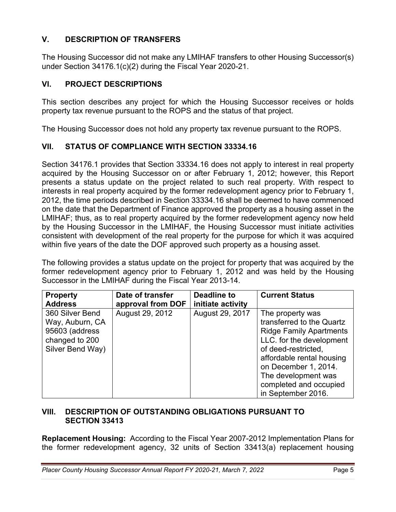## **V. DESCRIPTION OF TRANSFERS**

The Housing Successor did not make any LMIHAF transfers to other Housing Successor(s) under Section 34176.1(c)(2) during the Fiscal Year 2020-21.

## **VI. PROJECT DESCRIPTIONS**

This section describes any project for which the Housing Successor receives or holds property tax revenue pursuant to the ROPS and the status of that project.

The Housing Successor does not hold any property tax revenue pursuant to the ROPS.

## **VII. STATUS OF COMPLIANCE WITH SECTION 33334.16**

Section 34176.1 provides that Section 33334.16 does not apply to interest in real property acquired by the Housing Successor on or after February 1, 2012; however, this Report presents a status update on the project related to such real property. With respect to interests in real property acquired by the former redevelopment agency prior to February 1, 2012, the time periods described in Section 33334.16 shall be deemed to have commenced on the date that the Department of Finance approved the property as a housing asset in the LMIHAF; thus, as to real property acquired by the former redevelopment agency now held by the Housing Successor in the LMIHAF, the Housing Successor must initiate activities consistent with development of the real property for the purpose for which it was acquired within five years of the date the DOF approved such property as a housing asset.

The following provides a status update on the project for property that was acquired by the former redevelopment agency prior to February 1, 2012 and was held by the Housing Successor in the LMIHAF during the Fiscal Year 2013-14.

| <b>Property</b>                                                                            | Date of transfer  | <b>Deadline to</b> | <b>Current Status</b>                                                                                                                                                                                                                                          |
|--------------------------------------------------------------------------------------------|-------------------|--------------------|----------------------------------------------------------------------------------------------------------------------------------------------------------------------------------------------------------------------------------------------------------------|
| <b>Address</b>                                                                             | approval from DOF | initiate activity  |                                                                                                                                                                                                                                                                |
| 360 Silver Bend<br>Way, Auburn, CA<br>95603 (address<br>changed to 200<br>Silver Bend Way) | August 29, 2012   | August 29, 2017    | The property was<br>transferred to the Quartz<br><b>Ridge Family Apartments</b><br>LLC. for the development<br>of deed-restricted,<br>affordable rental housing<br>on December 1, 2014.<br>The development was<br>completed and occupied<br>in September 2016. |

### **VIII. DESCRIPTION OF OUTSTANDING OBLIGATIONS PURSUANT TO SECTION 33413**

**Replacement Housing:** According to the Fiscal Year 2007-2012 Implementation Plans for the former redevelopment agency, 32 units of Section 33413(a) replacement housing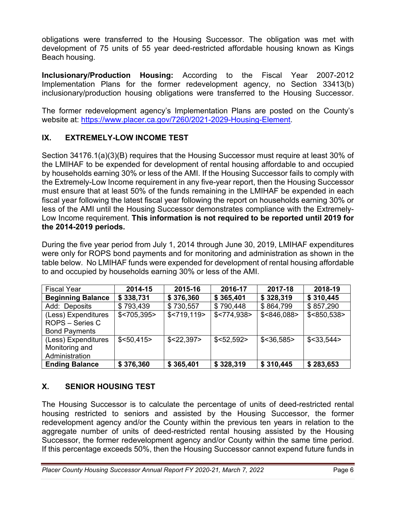obligations were transferred to the Housing Successor. The obligation was met with development of 75 units of 55 year deed-restricted affordable housing known as Kings Beach housing.

**Inclusionary/Production Housing:** According to the Fiscal Year 2007-2012 Implementation Plans for the former redevelopment agency, no Section 33413(b) inclusionary/production housing obligations were transferred to the Housing Successor.

The former redevelopment agency's Implementation Plans are posted on the County's website at: [https://www.placer.ca.gov/7260/2021-2029-Housing-Element.](https://www.placer.ca.gov/7260/2021-2029-Housing-Element)

# **IX. EXTREMELY-LOW INCOME TEST**

Section 34176.1(a)(3)(B) requires that the Housing Successor must require at least 30% of the LMIHAF to be expended for development of rental housing affordable to and occupied by households earning 30% or less of the AMI. If the Housing Successor fails to comply with the Extremely-Low Income requirement in any five-year report, then the Housing Successor must ensure that at least 50% of the funds remaining in the LMIHAF be expended in each fiscal year following the latest fiscal year following the report on households earning 30% or less of the AMI until the Housing Successor demonstrates compliance with the Extremely-Low Income requirement. **This information is not required to be reported until 2019 for the 2014-2019 periods.** 

During the five year period from July 1, 2014 through June 30, 2019, LMIHAF expenditures were only for ROPS bond payments and for monitoring and administration as shown in the table below. No LMIHAF funds were expended for development of rental housing affordable to and occupied by households earning 30% or less of the AMI.

| <b>Fiscal Year</b>       | 2014-15       | 2015-16       | 2016-17      | 2017-18         | 2018-19         |
|--------------------------|---------------|---------------|--------------|-----------------|-----------------|
| <b>Beginning Balance</b> | \$338,731     | \$376,360     | \$365,401    | \$328,319       | \$310,445       |
| Add: Deposits            | \$793,439     | \$730,557     | \$790,448    | \$864,799       | \$857,290       |
| (Less) Expenditures      | $$<$ 705,395> | $$<$ 719,119> | \$< 774.938> | \$<846,088>     | \$<850,538>     |
| <b>ROPS - Series C</b>   |               |               |              |                 |                 |
| <b>Bond Payments</b>     |               |               |              |                 |                 |
| (Less) Expenditures      | \$< 50,415>   | $$<$ 22.397>  | \$< 52, 592> | $$<$ 36,585 $>$ | $$<$ 33,544 $>$ |
| Monitoring and           |               |               |              |                 |                 |
| Administration           |               |               |              |                 |                 |
| <b>Ending Balance</b>    | \$376,360     | \$365,401     | \$328,319    | \$310,445       | \$283,653       |

# **X. SENIOR HOUSING TEST**

The Housing Successor is to calculate the percentage of units of deed-restricted rental housing restricted to seniors and assisted by the Housing Successor, the former redevelopment agency and/or the County within the previous ten years in relation to the aggregate number of units of deed-restricted rental housing assisted by the Housing Successor, the former redevelopment agency and/or County within the same time period. If this percentage exceeds 50%, then the Housing Successor cannot expend future funds in